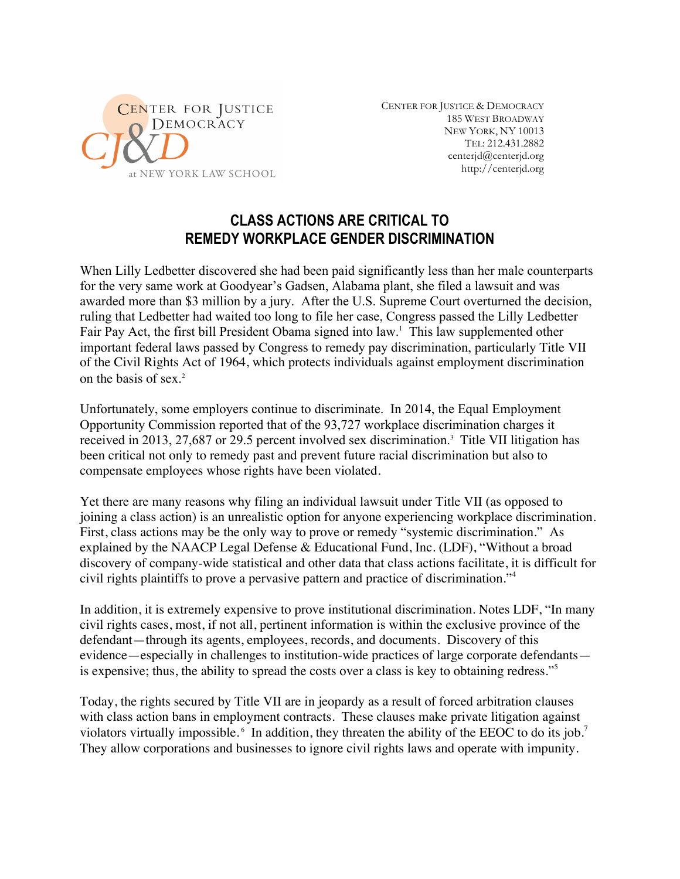

CENTER FOR JUSTICE & DEMOCRACY 185 WEST BROADWAY NEW YORK, NY 10013 TEL: 212.431.2882 centerjd@centerjd.org http://centerjd.org

# **CLASS ACTIONS ARE CRITICAL TO REMEDY WORKPLACE GENDER DISCRIMINATION**

When Lilly Ledbetter discovered she had been paid significantly less than her male counterparts for the very same work at Goodyear's Gadsen, Alabama plant, she filed a lawsuit and was awarded more than \$3 million by a jury. After the U.S. Supreme Court overturned the decision, ruling that Ledbetter had waited too long to file her case, Congress passed the Lilly Ledbetter Fair Pay Act, the first bill President Obama signed into law.<sup>1</sup> This law supplemented other important federal laws passed by Congress to remedy pay discrimination, particularly Title VII of the Civil Rights Act of 1964, which protects individuals against employment discrimination on the basis of sex. 2

Unfortunately, some employers continue to discriminate. In 2014, the Equal Employment Opportunity Commission reported that of the 93,727 workplace discrimination charges it received in 2013, 27,687 or 29.5 percent involved sex discrimination.<sup>3</sup> Title VII litigation has been critical not only to remedy past and prevent future racial discrimination but also to compensate employees whose rights have been violated.

Yet there are many reasons why filing an individual lawsuit under Title VII (as opposed to joining a class action) is an unrealistic option for anyone experiencing workplace discrimination. First, class actions may be the only way to prove or remedy "systemic discrimination."As explained by the NAACP Legal Defense & Educational Fund, Inc. (LDF), "Without a broad discovery of company-wide statistical and other data that class actions facilitate, it is difficult for civil rights plaintiffs to prove a pervasive pattern and practice of discrimination."<sup>4</sup>

In addition, it is extremely expensive to prove institutional discrimination. Notes LDF, "In many civil rights cases, most, if not all, pertinent information is within the exclusive province of the defendant—through its agents, employees, records, and documents. Discovery of this evidence—especially in challenges to institution-wide practices of large corporate defendants is expensive; thus, the ability to spread the costs over a class is key to obtaining redress."5

Today, the rights secured by Title VII are in jeopardy as a result of forced arbitration clauses with class action bans in employment contracts. These clauses make private litigation against violators virtually impossible.<sup>6</sup> In addition, they threaten the ability of the EEOC to do its job.<sup>7</sup> They allow corporations and businesses to ignore civil rights laws and operate with impunity.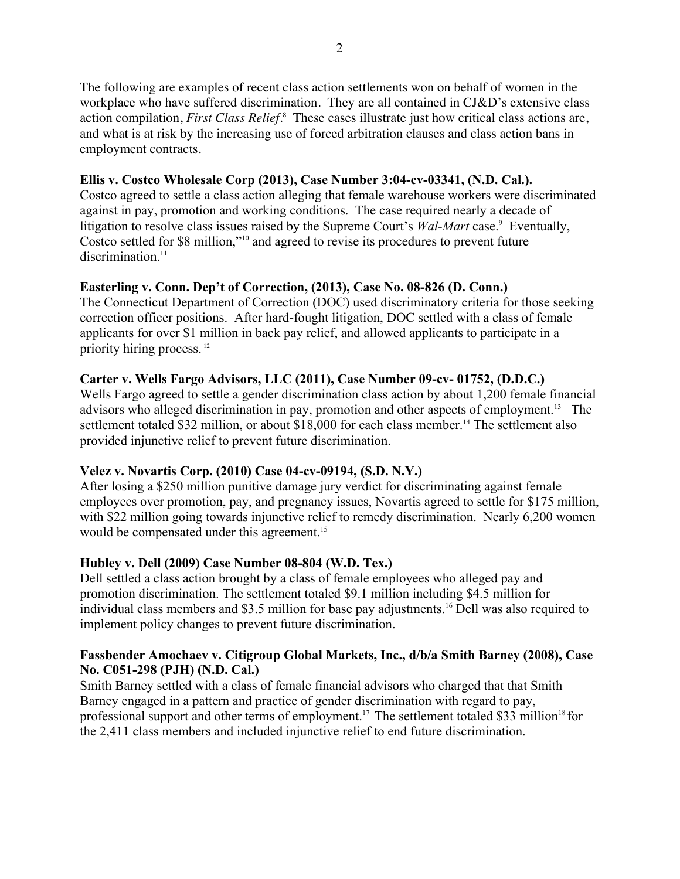The following are examples of recent class action settlements won on behalf of women in the workplace who have suffered discrimination. They are all contained in CJ&D's extensive class action compilation, *First Class Relief*.<sup>8</sup> These cases illustrate just how critical class actions are, and what is at risk by the increasing use of forced arbitration clauses and class action bans in employment contracts.

### **Ellis v. Costco Wholesale Corp (2013), Case Number 3:04-cv-03341, (N.D. Cal.).**

Costco agreed to settle a class action alleging that female warehouse workers were discriminated against in pay, promotion and working conditions. The case required nearly a decade of litigation to resolve class issues raised by the Supreme Court's *Wal-Mart* case.<sup>9</sup> Eventually, Costco settled for \$8 million,"10 and agreed to revise its procedures to prevent future discrimination.<sup>11</sup>

# **Easterling v. Conn. Dep't of Correction, (2013), Case No. 08-826 (D. Conn.)**

The Connecticut Department of Correction (DOC) used discriminatory criteria for those seeking correction officer positions. After hard-fought litigation, DOC settled with a class of female applicants for over \$1 million in back pay relief, and allowed applicants to participate in a priority hiring process. <sup>12</sup>

# **Carter v. Wells Fargo Advisors, LLC (2011), Case Number 09-cv- 01752, (D.D.C.)**

Wells Fargo agreed to settle a gender discrimination class action by about 1,200 female financial advisors who alleged discrimination in pay, promotion and other aspects of employment.<sup>13</sup> The settlement totaled \$32 million, or about \$18,000 for each class member.<sup>14</sup> The settlement also provided injunctive relief to prevent future discrimination.

# **Velez v. Novartis Corp. (2010) Case 04-cv-09194, (S.D. N.Y.)**

After losing a \$250 million punitive damage jury verdict for discriminating against female employees over promotion, pay, and pregnancy issues, Novartis agreed to settle for \$175 million, with \$22 million going towards injunctive relief to remedy discrimination. Nearly 6,200 women would be compensated under this agreement.<sup>15</sup>

#### **Hubley v. Dell (2009) Case Number 08-804 (W.D. Tex.)**

Dell settled a class action brought by a class of female employees who alleged pay and promotion discrimination. The settlement totaled \$9.1 million including \$4.5 million for individual class members and \$3.5 million for base pay adjustments.16 Dell was also required to implement policy changes to prevent future discrimination.

#### **Fassbender Amochaev v. Citigroup Global Markets, Inc., d/b/a Smith Barney (2008), Case No. C051-298 (PJH) (N.D. Cal.)**

Smith Barney settled with a class of female financial advisors who charged that that Smith Barney engaged in a pattern and practice of gender discrimination with regard to pay, professional support and other terms of employment.<sup>17</sup> The settlement totaled \$33 million<sup>18</sup> for the 2,411 class members and included injunctive relief to end future discrimination.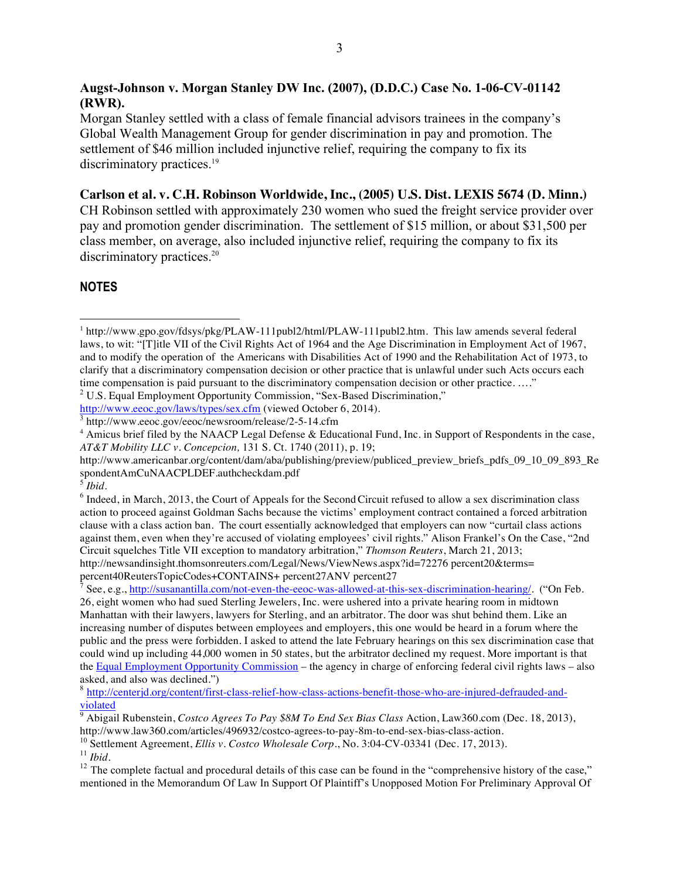#### **Augst-Johnson v. Morgan Stanley DW Inc. (2007), (D.D.C.) Case No. 1-06-CV-01142 (RWR).**

Morgan Stanley settled with a class of female financial advisors trainees in the company's Global Wealth Management Group for gender discrimination in pay and promotion. The settlement of \$46 million included injunctive relief, requiring the company to fix its discriminatory practices.<sup>19</sup>

**Carlson et al. v. C.H. Robinson Worldwide, Inc., (2005) U.S. Dist. LEXIS 5674 (D. Minn.)** CH Robinson settled with approximately 230 women who sued the freight service provider over pay and promotion gender discrimination. The settlement of \$15 million, or about \$31,500 per class member, on average, also included injunctive relief, requiring the company to fix its discriminatory practices.<sup>20</sup>

#### **NOTES**

 $\overline{a}$ 

time compensation is paid pursuant to the discriminatory compensation decision or other practice. ...."<br>
<sup>2</sup> U.S. Equal Employment Opportunity Commission, "Sex-Based Discrimination,"<br>
http://www.eeoc.gov/laws/types/sex.cfm

<sup>&</sup>lt;sup>1</sup> http://www.gpo.gov/fdsys/pkg/PLAW-111publ2/html/PLAW-111publ2.htm. This law amends several federal laws, to wit: "[T]itle VII of the Civil Rights Act of 1964 and the Age Discrimination in Employment Act of 1967, and to modify the operation of the Americans with Disabilities Act of 1990 and the Rehabilitation Act of 1973, to clarify that a discriminatory compensation decision or other practice that is unlawful under such Acts occurs each

 $\frac{3}{3}$ http://www.eeoc.gov/eeoc/newsroom/release/2-5-14.cfm

<sup>&</sup>lt;sup>4</sup> Amicus brief filed by the NAACP Legal Defense & Educational Fund, Inc. in Support of Respondents in the case, *AT&T Mobility LLC v. Concepcion,* 131 S. Ct. 1740 (2011), p. 19;

http://www.americanbar.org/content/dam/aba/publishing/preview/publiced\_preview\_briefs\_pdfs\_09\_10\_09\_893\_Re spondentAmCuNAACPLDEF.authcheckdam.pdf

<sup>5</sup> *Ibid.*

 $<sup>6</sup>$  Indeed, in March, 2013, the Court of Appeals for the Second Circuit refused to allow a sex discrimination class</sup> action to proceed against Goldman Sachs because the victims' employment contract contained a forced arbitration clause with a class action ban. The court essentially acknowledged that employers can now "curtail class actions against them, even when they're accused of violating employees' civil rights." Alison Frankel's On the Case, "2nd Circuit squelches Title VII exception to mandatory arbitration," *Thomson Reuters*, March 21, 2013; http://newsandinsight.thomsonreuters.com/Legal/News/ViewNews.aspx?id=72276 percent20&terms=<br>percent40ReutersTopicCodes+CONTAINS+ percent27ANV percent27

See, e.g., http://susanantilla.com/not-even-the-eeoc-was-allowed-at-this-sex-discrimination-hearing/. ("On Feb.

<sup>26,</sup> eight women who had sued Sterling Jewelers, Inc. were ushered into a private hearing room in midtown Manhattan with their lawyers, lawyers for Sterling, and an arbitrator. The door was shut behind them. Like an increasing number of disputes between employees and employers, this one would be heard in a forum where the public and the press were forbidden. I asked to attend the late February hearings on this sex discrimination case that could wind up including 44,000 women in 50 states, but the arbitrator declined my request. More important is that the Equal Employment Opportunity Commission – the agency in charge of enforcing federal civil rights laws – also asked, and also was declined.")

<sup>8</sup> http://centerjd.org/content/first-class-relief-how-class-actions-benefit-those-who-are-injured-defrauded-andviolated

<sup>9</sup> Abigail Rubenstein, *Costco Agrees To Pay \$8M To End Sex Bias Class* Action, Law360.com (Dec. 18, 2013),

http://www.law360.com/articles/496932/costco-agrees-to-pay-8m-to-end-sex-bias-class-action.<br><sup>10</sup> Settlement Agreement, *Ellis v. Costco Wholesale Corp.*, No. 3:04-CV-03341 (Dec. 17, 2013).<br><sup>11</sup> *Ibid.*<br><sup>12</sup> The complete f mentioned in the Memorandum Of Law In Support Of Plaintiff's Unopposed Motion For Preliminary Approval Of